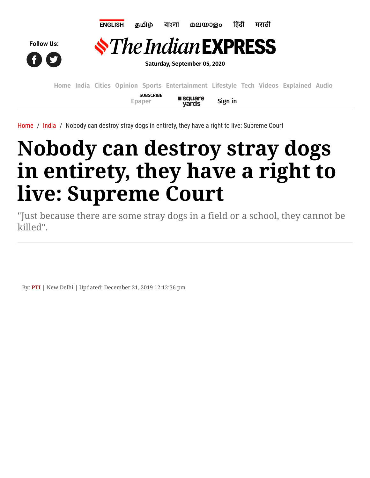

**Saturday, September 05, 2020**

**[Home](https://indianexpress.com/) [India](https://indianexpress.com/section/india/) [Cities](https://indianexpress.com/section/cities/) [Opinion](https://indianexpress.com/section/opinion/) [Sports](https://indianexpress.com/section/sports/) [Entertainment](https://indianexpress.com/section/entertainment/) [Lifestyle](https://indianexpress.com/section/lifestyle/) [Tech](https://indianexpress.com/section/technology/) [Videos](https://indianexpress.com/videos/) [Explained](https://indianexpress.com/section/explained/) [Audio](https://indianexpress.com/audio/) SUBSCRIBE square [Epaper](javascript:void(0);)** Sign in **vards** 

[Home](https://indianexpress.com/) / [India](https://indianexpress.com/section/india/) / Nobody can destroy stray dogs in entirety, they have a right to live: Supreme Court

## **Nobody can destroy stray dogs in entirety, they have a right to live: Supreme Court**

"Just because there are some stray dogs in a field or a school, they cannot be killed".

By: **[PTI](https://indianexpress.com/agency/pti/)** | New Delhi | Updated: December 21, 2019 12:12:36 pm

**Follow Us:**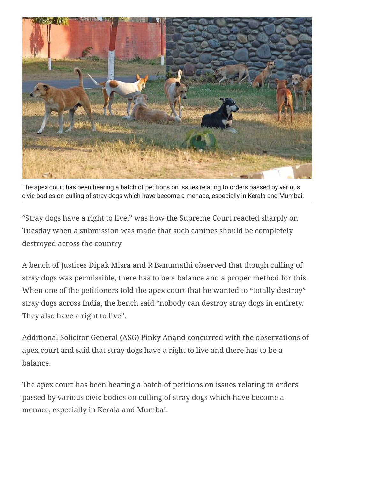

The apex court has been hearing a batch of petitions on issues relating to orders passed by various civic bodies on culling of stray dogs which have become a menace, especially in Kerala and Mumbai.

"Stray dogs have a right to live," was how the Supreme Court reacted sharply on Tuesday when a submission was made that such canines should be completely destroyed across the country.

A bench of Justices Dipak Misra and R Banumathi observed that though culling of stray dogs was permissible, there has to be a balance and a proper method for this. When one of the petitioners told the apex court that he wanted to "totally destroy" stray dogs across India, the bench said "nobody can destroy stray dogs in entirety. They also have a right to live".

Additional Solicitor General (ASG) Pinky Anand concurred with the observations of apex court and said that stray dogs have a right to live and there has to be a balance.

The apex court has been hearing a batch of petitions on issues relating to orders passed by various civic bodies on culling of stray dogs which have become a menace, especially in Kerala and Mumbai.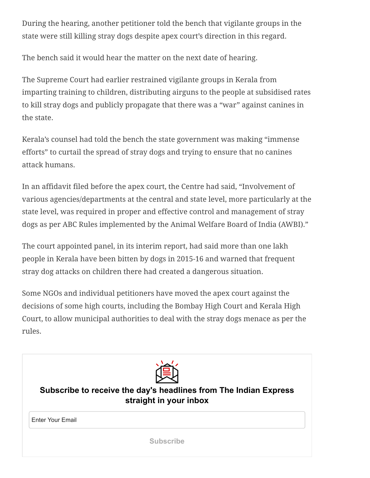During the hearing, another petitioner told the bench that vigilante groups in the state were still killing stray dogs despite apex court's direction in this regard.

The bench said it would hear the matter on the next date of hearing.

The Supreme Court had earlier restrained vigilante groups in Kerala from imparting training to children, distributing airguns to the people at subsidised rates to kill stray dogs and publicly propagate that there was a "war" against canines in the state.

Kerala's counsel had told the bench the state government was making "immense efforts" to curtail the spread of stray dogs and trying to ensure that no canines attack humans.

In an affidavit filed before the apex court, the Centre had said, "Involvement of various agencies/departments at the central and state level, more particularly at the state level, was required in proper and effective control and management of stray dogs as per ABC Rules implemented by the Animal Welfare Board of India (AWBI)."

The court appointed panel, in its interim report, had said more than one lakh people in Kerala have been bitten by dogs in 2015-16 and warned that frequent stray dog attacks on children there had created a dangerous situation.

Some NGOs and individual petitioners have moved the apex court against the decisions of some high courts, including the Bombay High Court and Kerala High Court, to allow municipal authorities to deal with the stray dogs menace as per the rules.



**Subscribe to receive the day's headlines from The Indian Express straight in your inbox**

Enter Your Email

**Subscribe**